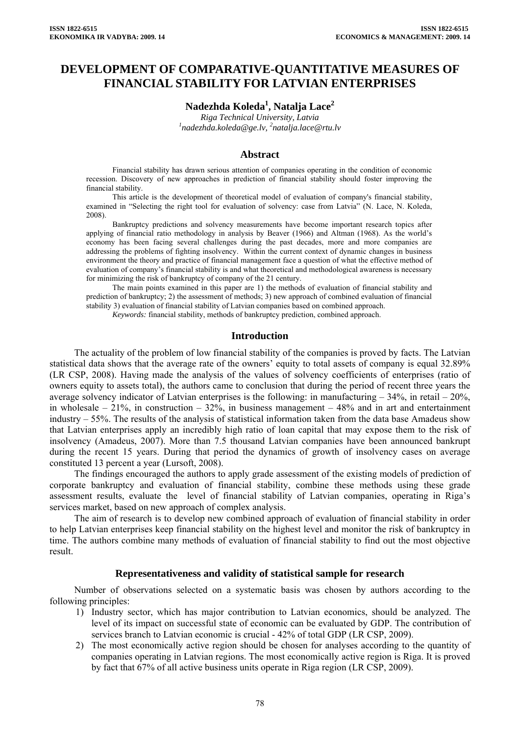# **DEVELOPMENT OF COMPARATIVE-QUANTITATIVE MEASURES OF FINANCIAL STABILITY FOR LATVIAN ENTERPRISES**

# **Nadezhda Koleda1 , Natalja Lace2**

*Riga Technical University, Latvia 1 [nadezhda.koleda@ge.lv](mailto:nadezhda.koleda@ge.lv), <sup>2</sup> natalja.lace@rtu.lv* 

#### **Abstract**

Financial stability has drawn serious attention of companies operating in the condition of economic recession. Discovery of new approaches in prediction of financial stability should foster improving the financial stability.

This article is the development of theoretical model of evaluation of company's financial stability, examined in "Selecting the right tool for evaluation of solvency: case from Latvia" (N. Lace, N. Koleda, 2008).

Bankruptcy predictions and solvency measurements have become important research topics after applying of financial ratio methodology in analysis by Beaver (1966) and Altman (1968). As the world's economy has been facing several challenges during the past decades, more and more companies are addressing the problems of fighting insolvency. Within the current context of dynamic changes in business environment the theory and practice of financial management face a question of what the effective method of evaluation of company's financial stability is and what theoretical and methodological awareness is necessary for minimizing the risk of bankruptcy of company of the 21 century.

The main points examined in this paper are 1) the methods of evaluation of financial stability and prediction of bankruptcy; 2) the assessment of methods; 3) new approach of combined evaluation of financial stability 3) evaluation of financial stability of Latvian companies based on combined approach.

*Keywords:* financial stability, methods of bankruptcy prediction, combined approach.

#### **Introduction**

The actuality of the problem of low financial stability of the companies is proved by facts. The Latvian statistical data shows that the average rate of the owners' equity to total assets of company is equal 32.89% (LR CSP, 2008). Having made the analysis of the values of solvency coefficients of enterprises (ratio of owners equity to assets total), the authors came to conclusion that during the period of recent three years the average solvency indicator of Latvian enterprises is the following: in manufacturing  $-34\%$ , in retail  $-20\%$ , in wholesale – 21%, in construction – 32%, in business management – 48% and in art and entertainment industry – 55%. The results of the analysis of statistical information taken from the data base Amadeus show that Latvian enterprises apply an incredibly high ratio of loan capital that may expose them to the risk of insolvency (Amadeus, 2007). More than 7.5 thousand Latvian companies have been announced bankrupt during the recent 15 years. During that period the dynamics of growth of insolvency cases on average constituted 13 percent a year (Lursoft, 2008).

The findings encouraged the authors to apply grade assessment of the existing models of prediction of corporate bankruptcy and evaluation of financial stability, combine these methods using these grade assessment results, evaluate the level of financial stability of Latvian companies, operating in Riga's services market, based on new approach of complex analysis.

The aim of research is to develop new combined approach of evaluation of financial stability in order to help Latvian enterprises keep financial stability on the highest level and monitor the risk of bankruptcy in time. The authors combine many methods of evaluation of financial stability to find out the most objective result.

#### **Representativeness and validity of statistical sample for research**

Number of observations selected on a systematic basis was chosen by authors according to the following principles:

- 1) Industry sector, which has major contribution to Latvian economics, should be analyzed. The level of its impact on successful state of economic can be evaluated by GDP. The contribution of services branch to Latvian economic is crucial - 42% of total GDP (LR CSP, 2009).
- 2) The most economically active region should be chosen for analyses according to the quantity of companies operating in Latvian regions. The most economically active region is Riga. It is proved by fact that 67% of all active business units operate in Riga region (LR CSP, 2009).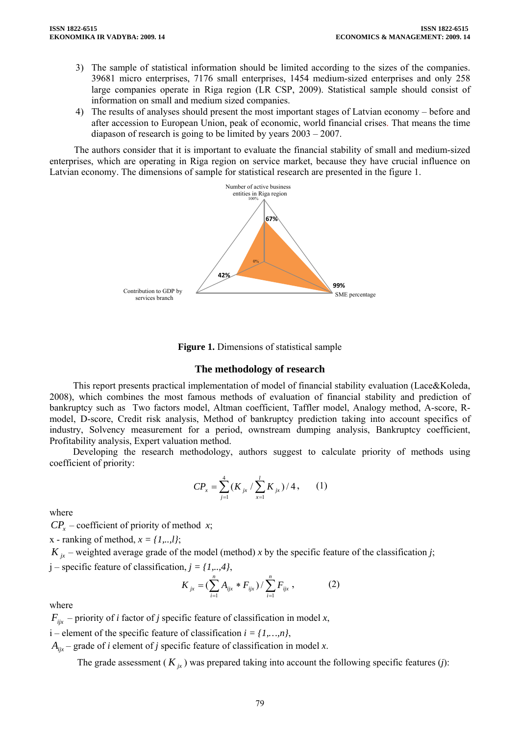- 3) The sample of statistical information should be limited according to the sizes of the companies. 39681 micro enterprises, 7176 small enterprises, 1454 medium-sized enterprises and only 258 large companies operate in Riga region (LR CSP, 2009). Statistical sample should consist of information on small and medium sized companies.
- 4) The results of analyses should present the most important stages of Latvian economy before and after accession to European Union, peak of economic, world financial crises. That means the time diapason of research is going to be limited by years 2003 – 2007.

The authors consider that it is important to evaluate the financial stability of small and medium-sized enterprises, which are operating in Riga region on service market, because they have crucial influence on Latvian economy. The dimensions of sample for statistical research are presented in the figure 1.





### **The methodology of research**

This report presents practical implementation of model of financial stability evaluation (Lace&Koleda, 2008), which combines the most famous methods of evaluation of financial stability and prediction of bankruptcy such as Two factors model, Altman coefficient, Taffler model, Analogy method, A-score, Rmodel, D-score, Credit risk analysis, Method of bankruptcy prediction taking into account specifics of industry, Solvency measurement for a period, ownstream dumping analysis, Bankruptcy coefficient, Profitability analysis, Expert valuation method.

Developing the research methodology, authors suggest to calculate priority of methods using coefficient of priority:

$$
CP_x = \sum_{j=1}^{4} (K_{jx} / \sum_{x=1}^{l} K_{jx}) / 4, \qquad (1)
$$

where

 $CP<sub>x</sub>$  – coefficient of priority of method *x*;

x - ranking of method, *x = {1,..,l}*;

 $K_{ir}$  – weighted average grade of the model (method) *x* by the specific feature of the classification *j*;

$$
j
$$
 – specific feature of classification,  $j = \{1, ..., 4\}$ ,  
\n
$$
K_{jx} = (\sum_{i=1}^{n} A_{ijx} * F_{ijx}) / \sum_{i=1}^{n} F_{ijx},
$$
\n(2)

where

 $F_{ijx}$  – priority of *i* factor of *j* specific feature of classification in model *x*,

i – element of the specific feature of classification  $i = \{1, ..., n\}$ ,

 $A_{ijx}$  – grade of *i* element of *j* specific feature of classification in model *x*.

The grade assessment ( $K_{ir}$ ) was prepared taking into account the following specific features (*j*):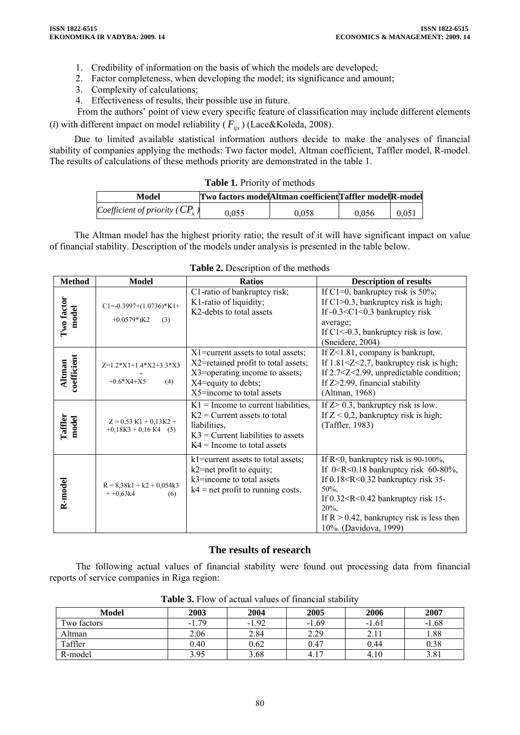- 1. Credibility of information on the basis of which the models are developed;
- 2. Factor completeness, when developing the model; its significance and amount;
- 3. Complexity of calculations;
- 4. Effectiveness of results, their possible use in future.

From the authors' point of view every specific feature of classification may include different elements (*i*) with different impact on model reliability ( $F_{iix}$ ) (Lace&Koleda, 2008).

Due to limited available statistical information authors decide to make the analyses of financial stability of companies applying the methods: Two factor model, Altman coefficient, Taffler model, R-model. The results of calculations of these methods priority are demonstrated in the table 1.

|  |  |  |  |  | <b>Table 1. Priority of methods</b> |
|--|--|--|--|--|-------------------------------------|
|--|--|--|--|--|-------------------------------------|

| Model                             | Two factors model Altman coefficient Taffler model R-model |       |       |       |
|-----------------------------------|------------------------------------------------------------|-------|-------|-------|
| Coefficient of priority ( $CPx$ ) | 0.055                                                      | 0.058 | 0.056 | 0.051 |

The Altman model has the highest priority ratio; the result of it will have significant impact on value of financial stability. Description of the models under analysis is presented in the table below.

| <b>Method</b>         | <b>Model</b>                                         | <b>Ratios</b>                                                                                                                                                      | <b>Description of results</b>                                                                                                                                                                                                                                        |
|-----------------------|------------------------------------------------------|--------------------------------------------------------------------------------------------------------------------------------------------------------------------|----------------------------------------------------------------------------------------------------------------------------------------------------------------------------------------------------------------------------------------------------------------------|
| Two factor<br>model   | $C1 = -0.3997+(1.0736)*K1+$<br>$+0.0579$ *)K2<br>(3) | C1-ratio of bankruptcy risk;<br>K1-ratio of liquidity;<br>K2-debts to total assets                                                                                 | If C1=0, bankruptcy risk is $50\%$ ;<br>If $C1>0.3$ , bankruptcy risk is high;<br>If $-0.3 < C1 < 0.3$ bankruptcy risk<br>average;<br>If $C1 < 0.3$ , bankruptcy risk is low.<br>(Sneidere, 2004)                                                                    |
| coefficient<br>Altman | $Z=1.2*X1+1.4*X2+3.3*X3$<br>$+0.6*X4+X5$<br>(4)      | $X1$ =current assets to total assets;<br>X2=retained profit to total assets;<br>X3=operating income to assets;<br>X4=equity to debts;<br>X5=income to total assets | If $Z<1.81$ , company is bankrupt,<br>If $1.81 \leq Z \leq 2.7$ , bankruptcy risk is high;<br>If $2.7 < Z < 2.99$ , unpredictable condition;<br>If $Z > 2.99$ , financial stability<br>(Altman, 1968)                                                                |
| Taffler<br>model      | $Z = 0.53$ K1 + 0.13K2 +<br>$+0,18K3 + 0,16K4$ (5)   | $K1$ = Income to current liabilities,<br>$K2$ = Current assets to total<br>liabilities,<br>$K3$ = Current liabilities to assets<br>$K4 =$ Income to total assets   | If $Z > 0.3$ , bankruptcy risk is low.<br>If $Z < 0.2$ , bankruptcy risk is high;<br>(Taffler, 1983)                                                                                                                                                                 |
| R-model               | $R = 8,38k1 + k2 + 0,054k3$<br>$+ +0.63k4$<br>(6)    | k1=current assets to total assets;<br>k2=net profit to equity;<br>$k3$ =income to total assets<br>$k4$ = net profit to running costs.                              | If $R<0$ , bankruptcy risk is 90-100%,<br>If $0 < R < 0.18$ bankruptcy risk 60-80%,<br>If $0.18 < R < 0.32$ bankruptcy risk 35-<br>50%.<br>If $0.32 < R < 0.42$ bankruptcy risk 15-<br>20%.<br>If $R > 0.42$ , bankruptcy risk is less then<br>10%. (Davidova, 1999) |

**Table 2.** Description of the methods

# **The results of research**

The following actual values of financial stability were found out processing data from financial reports of service companies in Riga region:

| <b>Model</b> | 2003    | 2004    | 2005                  | 2006    | 2007    |
|--------------|---------|---------|-----------------------|---------|---------|
| Two factors  | $-1.79$ | $-1.92$ | $-1.69$               | $-1.61$ | $-1.68$ |
| Altman       | 2.06    | 2.84    | 2.29                  | 2.11    | 1.88    |
| Taffler      | 0.40    | 0.62    | 0.47                  | 0.44    | 0.38    |
| R-model      | 3.95    | 3.68    | 1 <sub>7</sub><br>4.1 | 4.10    | 3.81    |

Table 3. Flow of actual values of financial stability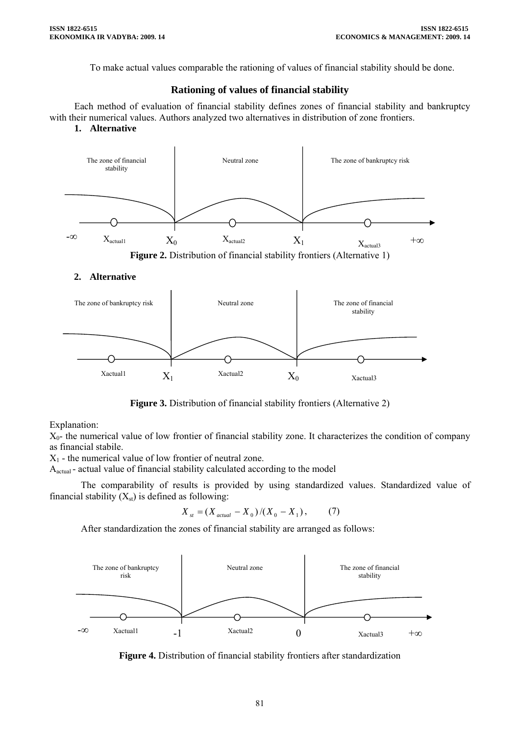To make actual values comparable the rationing of values of financial stability should be done.

## **Rationing of values of financial stability**

Each method of evaluation of financial stability defines zones of financial stability and bankruptcy with their numerical values. Authors analyzed two alternatives in distribution of zone frontiers.

#### **1. Alternative**



### **2. Alternative**



**Figure 3.** Distribution of financial stability frontiers (Alternative 2)

Explanation:

 $X_0$ - the numerical value of low frontier of financial stability zone. It characterizes the condition of company as financial stabile.

 $X_1$  - the numerical value of low frontier of neutral zone.

 $A<sub>actual</sub>$  - actual value of financial stability calculated according to the model

The comparability of results is provided by using standardized values. Standardized value of financial stability  $(X<sub>st</sub>)$  is defined as following:

$$
X_{st} = (X_{actual} - X_0) / (X_0 - X_1), \tag{7}
$$

After standardization the zones of financial stability are arranged as follows:



**Figure 4.** Distribution of financial stability frontiers after standardization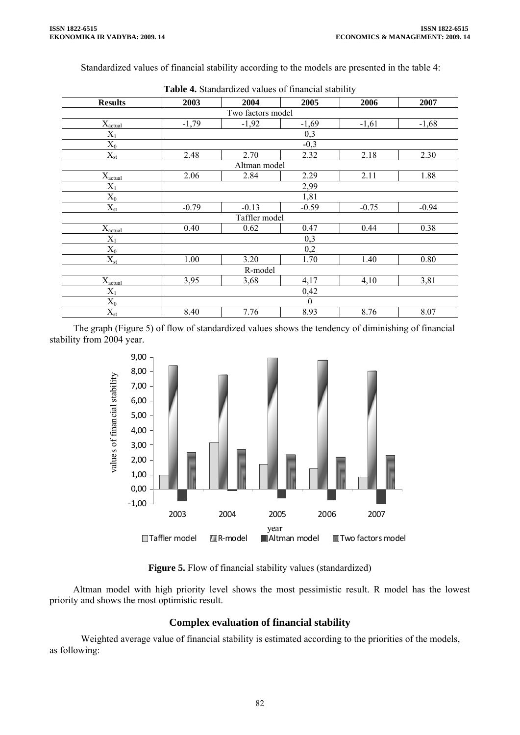Standardized values of financial stability according to the models are presented in the table 4:

| <b>Results</b>                  | 2003         | 2004          | 2005             | 2006    | 2007    |  |  |
|---------------------------------|--------------|---------------|------------------|---------|---------|--|--|
| Two factors model               |              |               |                  |         |         |  |  |
| $X_{\underline{\text{actual}}}$ | $-1,79$      | $-1,92$       | $-1,69$          | $-1,61$ | $-1,68$ |  |  |
| $X_1$                           |              |               | 0,3              |         |         |  |  |
| $X_0$                           |              |               | $-0,3$           |         |         |  |  |
| $X_{st}$                        | 2.48         | 2.70          | 2.32             | 2.18    | 2.30    |  |  |
|                                 | Altman model |               |                  |         |         |  |  |
| $X_{actual}$                    | 2.06         | 2.84          | 2.29             | 2.11    | 1.88    |  |  |
| $X_1$                           | 2,99         |               |                  |         |         |  |  |
| $\mathbf{X}_0$                  |              |               | 1,81             |         |         |  |  |
| $X_{st}$                        | $-0.79$      | $-0.13$       | $-0.59$          | $-0.75$ | $-0.94$ |  |  |
|                                 |              | Taffler model |                  |         |         |  |  |
| $X_{actual}$                    | 0.40         | 0.62          | 0.47             | 0.44    | 0.38    |  |  |
| $X_1$                           |              |               | 0,3              |         |         |  |  |
| $\mathbf{X}_0$                  |              |               | 0,2              |         |         |  |  |
| $X_{\rm st}$                    | 1.00         | 3.20          | 1.70             | 1.40    | 0.80    |  |  |
|                                 | R-model      |               |                  |         |         |  |  |
| $X_{actual}$                    | 3,95         | 3,68          | 4,17             | 4,10    | 3,81    |  |  |
| $X_1$                           | 0,42         |               |                  |         |         |  |  |
| $X_0$                           |              |               | $\boldsymbol{0}$ |         |         |  |  |
| $X_{st}$                        | 8.40         | 7.76          | 8.93             | 8.76    | 8.07    |  |  |

| <b>Table 4.</b> Standardized values of financial stability |  |
|------------------------------------------------------------|--|
|------------------------------------------------------------|--|

The graph (Figure 5) of flow of standardized values shows the tendency of diminishing of financial stability from 2004 year.



**Figure 5.** Flow of financial stability values (standardized)

Altman model with high priority level shows the most pessimistic result. R model has the lowest priority and shows the most optimistic result.

# **Complex evaluation of financial stability**

Weighted average value of financial stability is estimated according to the priorities of the models, as following: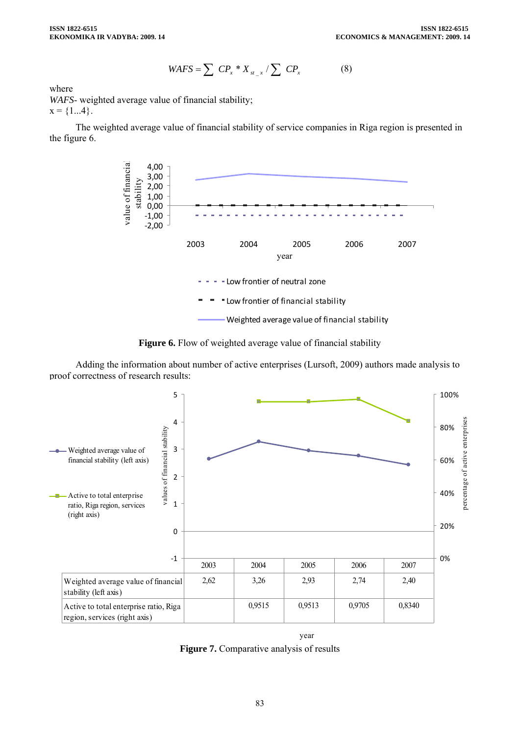$$
WAFS = \sum CP_x * X_{st} / \sum CP_x \tag{8}
$$

where

*WAFS*- weighted average value of financial stability;  $x = \{1...4\}.$ 

The weighted average value of financial stability of service companies in Riga region is presented in the figure 6.





Adding the information about number of active enterprises (Lursoft, 2009) authors made analysis to proof correctness of research results:



year **Figure 7.** Comparative analysis of results